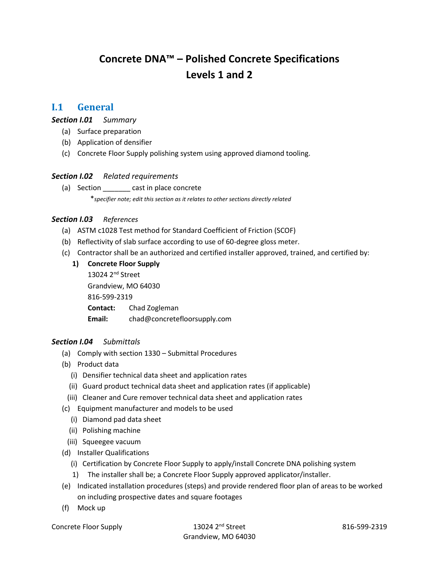# **Concrete DNA™ – Polished Concrete Specifications Levels 1 and 2**

## **I.1 General**

*Section I.01 Summary*

- (a) Surface preparation
- (b) Application of densifier
- (c) Concrete Floor Supply polishing system using approved diamond tooling.

#### *Section I.02 Related requirements*

(a) Section cast in place concrete \**specifier note; edit this section as it relates to other sections directly related* 

#### *Section I.03 References*

- (a) ASTM c1028 Test method for Standard Coefficient of Friction (SCOF)
- (b) Reflectivity of slab surface according to use of 60-degree gloss meter.
- (c) Contractor shall be an authorized and certified installer approved, trained, and certified by:
	- **1) Concrete Floor Supply**  13024 2nd Street Grandview, MO 64030 816-599-2319 **Contact:** Chad Zogleman **Email:** chad@concretefloorsupply.com

#### *Section I.04 Submittals*

- (a) Comply with section 1330 Submittal Procedures
- (b) Product data
	- (i) Densifier technical data sheet and application rates
	- (ii) Guard product technical data sheet and application rates (if applicable)
	- (iii) Cleaner and Cure remover technical data sheet and application rates
- (c) Equipment manufacturer and models to be used
	- (i) Diamond pad data sheet
	- (ii) Polishing machine
	- (iii) Squeegee vacuum
- (d) Installer Qualifications
	- (i) Certification by Concrete Floor Supply to apply/install Concrete DNA polishing system
	- 1) The installer shall be; a Concrete Floor Supply approved applicator/installer.
- (e) Indicated installation procedures (steps) and provide rendered floor plan of areas to be worked on including prospective dates and square footages
- (f) Mock up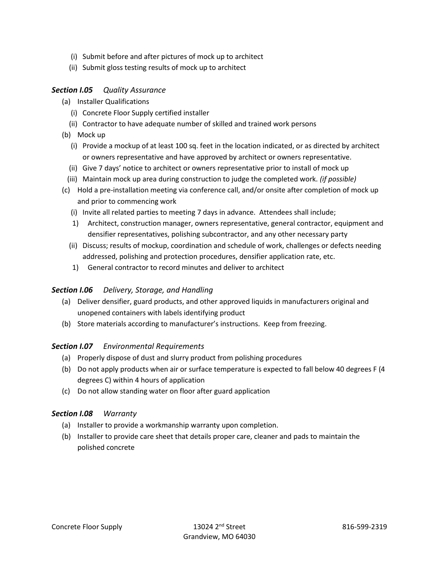- (i) Submit before and after pictures of mock up to architect
- (ii) Submit gloss testing results of mock up to architect

## *Section I.05 Quality Assurance*

- (a) Installer Qualifications
	- (i) Concrete Floor Supply certified installer
	- (ii) Contractor to have adequate number of skilled and trained work persons
- (b) Mock up
	- (i) Provide a mockup of at least 100 sq. feet in the location indicated, or as directed by architect or owners representative and have approved by architect or owners representative.
	- (ii) Give 7 days' notice to architect or owners representative prior to install of mock up
	- (iii) Maintain mock up area during construction to judge the completed work. *(if possible)*
- (c) Hold a pre-installation meeting via conference call, and/or onsite after completion of mock up and prior to commencing work
	- (i) Invite all related parties to meeting 7 days in advance. Attendees shall include;
	- 1) Architect, construction manager, owners representative, general contractor, equipment and densifier representatives, polishing subcontractor, and any other necessary party
	- (ii) Discuss; results of mockup, coordination and schedule of work, challenges or defects needing addressed, polishing and protection procedures, densifier application rate, etc.
	- 1) General contractor to record minutes and deliver to architect

#### *Section I.06 Delivery, Storage, and Handling*

- (a) Deliver densifier, guard products, and other approved liquids in manufacturers original and unopened containers with labels identifying product
- (b) Store materials according to manufacturer's instructions. Keep from freezing.

#### *Section I.07 Environmental Requirements*

- (a) Properly dispose of dust and slurry product from polishing procedures
- (b) Do not apply products when air or surface temperature is expected to fall below 40 degrees F (4 degrees C) within 4 hours of application
- (c) Do not allow standing water on floor after guard application

#### *Section I.08 Warranty*

- (a) Installer to provide a workmanship warranty upon completion.
- (b) Installer to provide care sheet that details proper care, cleaner and pads to maintain the polished concrete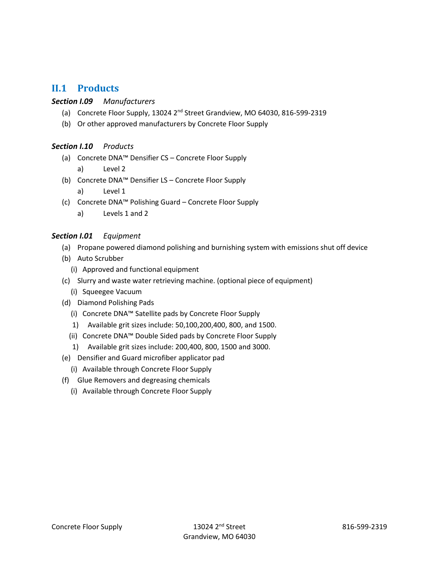# **II.1 Products**

#### *Section I.09 Manufacturers*

- (a) Concrete Floor Supply, 13024 2<sup>nd</sup> Street Grandview, MO 64030, 816-599-2319
- (b) Or other approved manufacturers by Concrete Floor Supply

#### *Section I.10 Products*

- (a) Concrete DNA™ Densifier CS Concrete Floor Supply
	- a) Level 2
- (b) Concrete DNA™ Densifier LS Concrete Floor Supply
	- a) Level 1
- (c) Concrete DNA™ Polishing Guard Concrete Floor Supply
	- a) Levels 1 and 2

#### *Section I.01 Equipment*

- (a) Propane powered diamond polishing and burnishing system with emissions shut off device
- (b) Auto Scrubber
	- (i) Approved and functional equipment
- (c) Slurry and waste water retrieving machine. (optional piece of equipment)
	- (i) Squeegee Vacuum
- (d) Diamond Polishing Pads
	- (i) Concrete DNA™ Satellite pads by Concrete Floor Supply
	- 1) Available grit sizes include: 50,100,200,400, 800, and 1500.
	- (ii) Concrete DNA™ Double Sided pads by Concrete Floor Supply
	- 1) Available grit sizes include: 200,400, 800, 1500 and 3000.
- (e) Densifier and Guard microfiber applicator pad
	- (i) Available through Concrete Floor Supply
- (f) Glue Removers and degreasing chemicals
	- (i) Available through Concrete Floor Supply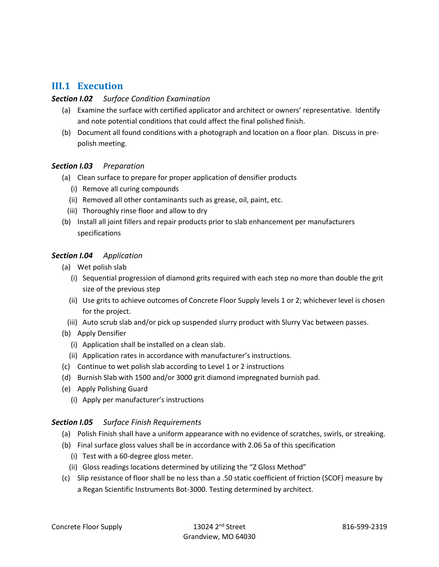# **III.1 Execution**

## *Section I.02 Surface Condition Examination*

- (a) Examine the surface with certified applicator and architect or owners' representative. Identify and note potential conditions that could affect the final polished finish.
- (b) Document all found conditions with a photograph and location on a floor plan. Discuss in prepolish meeting.

#### *Section I.03 Preparation*

- (a) Clean surface to prepare for proper application of densifier products
	- (i) Remove all curing compounds
	- (ii) Removed all other contaminants such as grease, oil, paint, etc.
	- (iii) Thoroughly rinse floor and allow to dry
- (b) Install all joint fillers and repair products prior to slab enhancement per manufacturers specifications

## *Section I.04 Application*

- (a) Wet polish slab
	- (i) Sequential progression of diamond grits required with each step no more than double the grit size of the previous step
	- (ii) Use grits to achieve outcomes of Concrete Floor Supply levels 1 or 2; whichever level is chosen for the project.
	- (iii) Auto scrub slab and/or pick up suspended slurry product with Slurry Vac between passes.
- (b) Apply Densifier
	- (i) Application shall be installed on a clean slab.
	- (ii) Application rates in accordance with manufacturer's instructions.
- (c) Continue to wet polish slab according to Level 1 or 2 instructions
- (d) Burnish Slab with 1500 and/or 3000 grit diamond impregnated burnish pad.
- (e) Apply Polishing Guard
	- (i) Apply per manufacturer's instructions

#### *Section I.05 Surface Finish Requirements*

- (a) Polish Finish shall have a uniform appearance with no evidence of scratches, swirls, or streaking.
- (b) Final surface gloss values shall be in accordance with 2.06 5a of this specification
	- (i) Test with a 60-degree gloss meter.
	- (ii) Gloss readings locations determined by utilizing the "Z Gloss Method"
- (c) Slip resistance of floor shall be no less than a .50 static coefficient of friction (SCOF) measure by a Regan Scientific Instruments Bot-3000. Testing determined by architect.